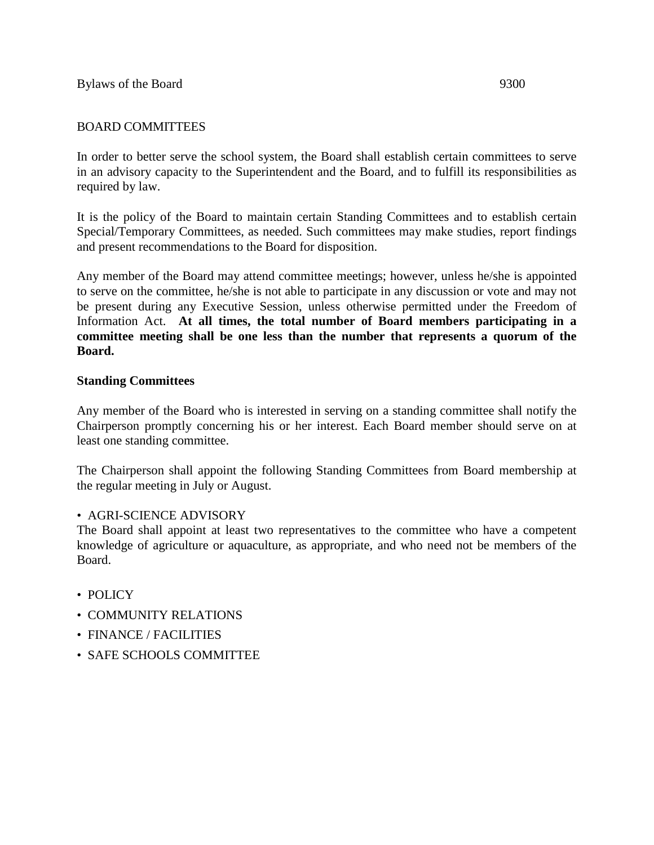# BOARD COMMITTEES

In order to better serve the school system, the Board shall establish certain committees to serve in an advisory capacity to the Superintendent and the Board, and to fulfill its responsibilities as required by law.

It is the policy of the Board to maintain certain Standing Committees and to establish certain Special/Temporary Committees, as needed. Such committees may make studies, report findings and present recommendations to the Board for disposition.

Any member of the Board may attend committee meetings; however, unless he/she is appointed to serve on the committee, he/she is not able to participate in any discussion or vote and may not be present during any Executive Session, unless otherwise permitted under the Freedom of Information Act. **At all times, the total number of Board members participating in a committee meeting shall be one less than the number that represents a quorum of the Board.**

## **Standing Committees**

Any member of the Board who is interested in serving on a standing committee shall notify the Chairperson promptly concerning his or her interest. Each Board member should serve on at least one standing committee.

The Chairperson shall appoint the following Standing Committees from Board membership at the regular meeting in July or August.

## • AGRI-SCIENCE ADVISORY

The Board shall appoint at least two representatives to the committee who have a competent knowledge of agriculture or aquaculture, as appropriate, and who need not be members of the Board.

- POLICY
- COMMUNITY RELATIONS
- FINANCE / FACILITIES
- SAFE SCHOOLS COMMITTEE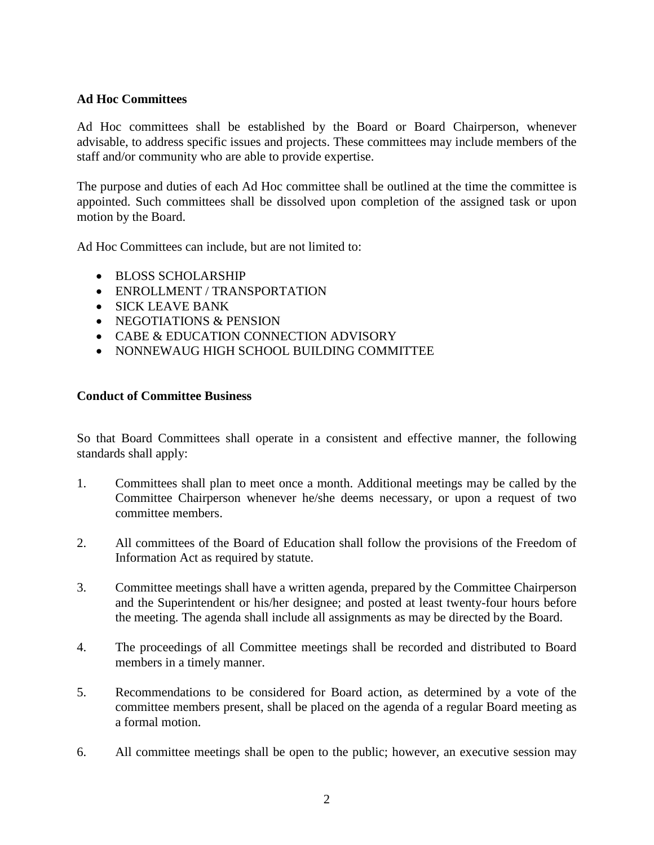#### **Ad Hoc Committees**

Ad Hoc committees shall be established by the Board or Board Chairperson, whenever advisable, to address specific issues and projects. These committees may include members of the staff and/or community who are able to provide expertise.

The purpose and duties of each Ad Hoc committee shall be outlined at the time the committee is appointed. Such committees shall be dissolved upon completion of the assigned task or upon motion by the Board.

Ad Hoc Committees can include, but are not limited to:

- BLOSS SCHOLARSHIP
- ENROLLMENT / TRANSPORTATION
- SICK LEAVE BANK
- NEGOTIATIONS & PENSION
- CABE & EDUCATION CONNECTION ADVISORY
- NONNEWAUG HIGH SCHOOL BUILDING COMMITTEE

#### **Conduct of Committee Business**

So that Board Committees shall operate in a consistent and effective manner, the following standards shall apply:

- 1. Committees shall plan to meet once a month. Additional meetings may be called by the Committee Chairperson whenever he/she deems necessary, or upon a request of two committee members.
- 2. All committees of the Board of Education shall follow the provisions of the Freedom of Information Act as required by statute.
- 3. Committee meetings shall have a written agenda, prepared by the Committee Chairperson and the Superintendent or his/her designee; and posted at least twenty-four hours before the meeting. The agenda shall include all assignments as may be directed by the Board.
- 4. The proceedings of all Committee meetings shall be recorded and distributed to Board members in a timely manner.
- 5. Recommendations to be considered for Board action, as determined by a vote of the committee members present, shall be placed on the agenda of a regular Board meeting as a formal motion.
- 6. All committee meetings shall be open to the public; however, an executive session may